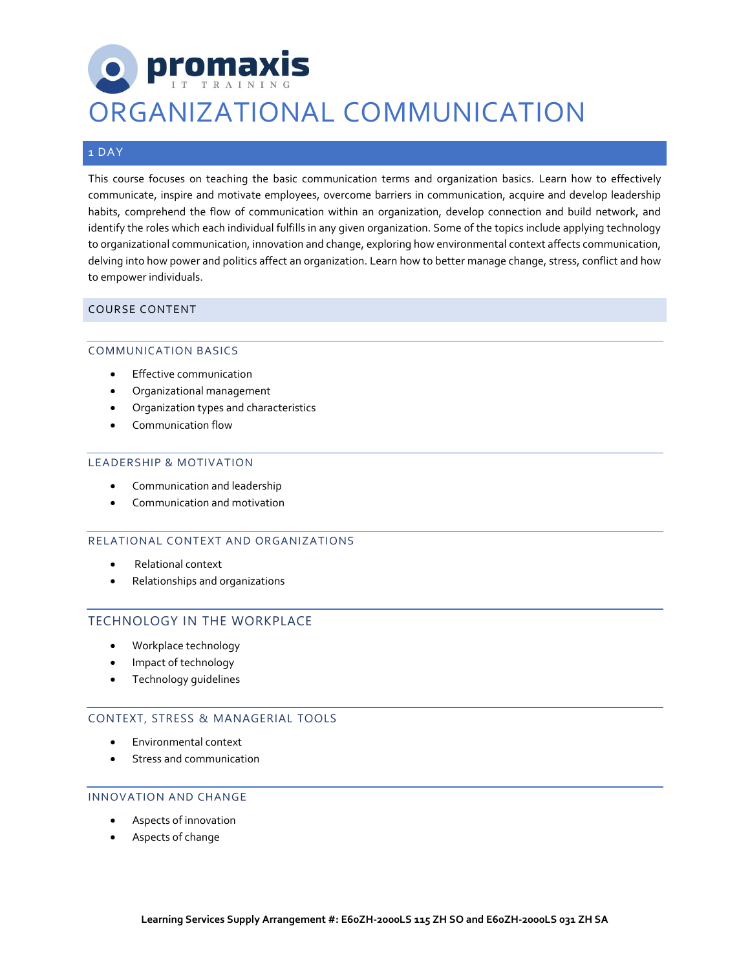# **promaxis** ORGANIZATIONAL COMMUNICATION

## 1 DAY

This course focuses on teaching the basic communication terms and organization basics. Learn how to effectively communicate, inspire and motivate employees, overcome barriers in communication, acquire and develop leadership habits, comprehend the flow of communication within an organization, develop connection and build network, and identify the roles which each individual fulfills in any given organization. Some of the topics include applying technology to organizational communication, innovation and change, exploring how environmental context affects communication, delving into how power and politics affect an organization. Learn how to better manage change, stress, conflict and how to empower individuals.

### COURSE CONTENT

### COMMUNICATION BASICS

- Effective communication
- Organizational management
- Organization types and characteristics
- Communication flow

#### LEADERSHIP & MOTIVATION

- Communication and leadership
- Communication and motivation

### RELATIONAL CONTEXT AND ORGANIZATIONS

- Relational context
- Relationships and organizations

## TECHNOLOGY IN THE WORKPLACE

- Workplace technology
- Impact of technology
- Technology guidelines

### CONTEXT, STRESS & MANAGERIAL TOOLS

- Environmental context
- Stress and communication

### INNOVATION AND CHANGE

- Aspects of innovation
- Aspects of change